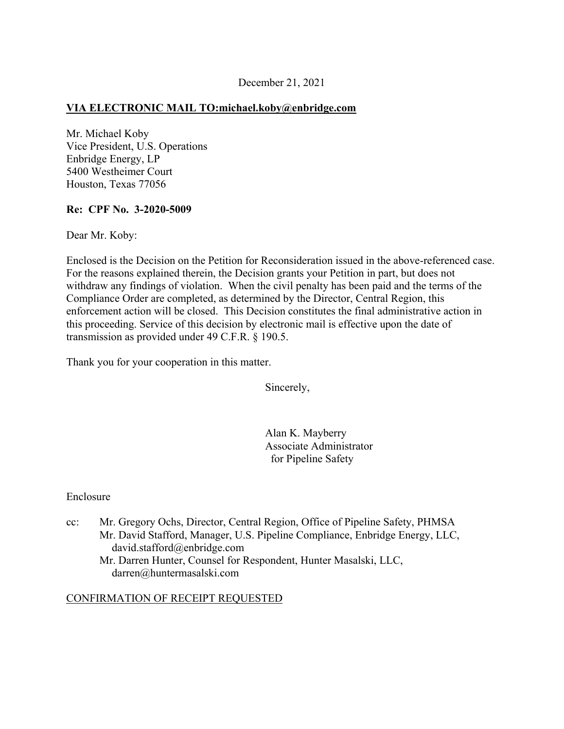### December 21, 2021

## **VIA ELECTRONIC MAIL [TO:michael.koby@enbridge.com](mailto:TO:michael.koby@enbridge.com)**

Mr. Michael Koby Vice President, U.S. Operations Enbridge Energy, LP 5400 Westheimer Court Houston, Texas 77056

### **Re: CPF No. 3-2020-5009**

Dear Mr. Koby:

Enclosed is the Decision on the Petition for Reconsideration issued in the above-referenced case. For the reasons explained therein, the Decision grants your Petition in part, but does not withdraw any findings of violation. When the civil penalty has been paid and the terms of the Compliance Order are completed, as determined by the Director, Central Region, this enforcement action will be closed. This Decision constitutes the final administrative action in this proceeding. Service of this decision by electronic mail is effective upon the date of transmission as provided under 49 C.F.R. § 190.5.

Thank you for your cooperation in this matter.

Sincerely,

Alan K. Mayberry Associate Administrator for Pipeline Safety

#### Enclosure

cc: Mr. Gregory Ochs, Director, Central Region, Office of Pipeline Safety, PHMSA Mr. David Stafford, Manager, U.S. Pipeline Compliance, Enbridge Energy, LLC, [david.stafford@enbridge.com](mailto:david.stafford@enbridge.com)

Mr. Darren Hunter, Counsel for Respondent, Hunter Masalski, LLC, [darren@huntermasalski.com](mailto:darren@huntermasalski.com) 

#### CONFIRMATION OF RECEIPT REQUESTED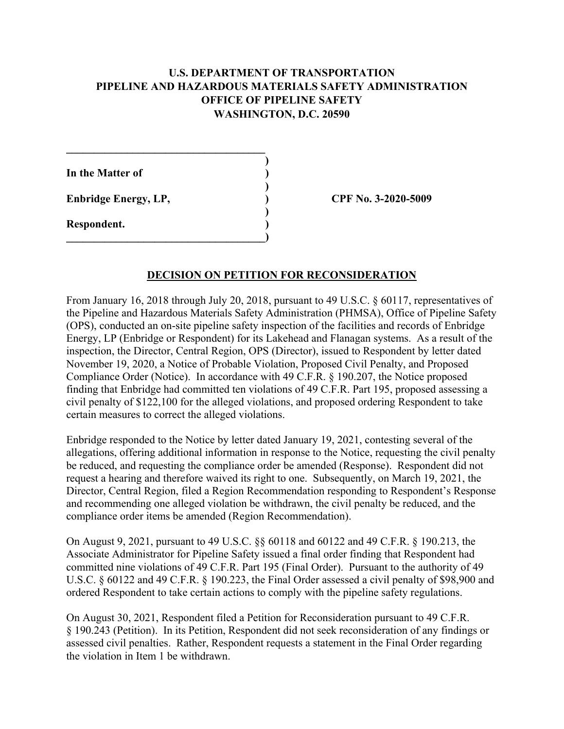# **U.S. DEPARTMENT OF TRANSPORTATION PIPELINE AND HAZARDOUS MATERIALS SAFETY ADMINISTRATION OFFICE OF PIPELINE SAFETY WASHINGTON, D.C. 20590**

**)** 

**)** 

**)** 

**In the Matter of ) Enbridge Energy, LP, ) CPF No. 3-2020-5009** 

**\_\_\_\_\_\_\_\_\_\_\_\_\_\_\_\_\_\_\_\_\_\_\_\_\_\_\_\_\_\_\_\_\_\_\_\_** 

**\_\_\_\_\_\_\_\_\_\_\_\_\_\_\_\_\_\_\_\_\_\_\_\_\_\_\_\_\_\_\_\_\_\_\_\_)** 

**Respondent. )** 

### **DECISION ON PETITION FOR RECONSIDERATION**

From January 16, 2018 through July 20, 2018, pursuant to 49 U.S.C. § 60117, representatives of the Pipeline and Hazardous Materials Safety Administration (PHMSA), Office of Pipeline Safety (OPS), conducted an on-site pipeline safety inspection of the facilities and records of Enbridge Energy, LP (Enbridge or Respondent) for its Lakehead and Flanagan systems. As a result of the inspection, the Director, Central Region, OPS (Director), issued to Respondent by letter dated November 19, 2020, a Notice of Probable Violation, Proposed Civil Penalty, and Proposed Compliance Order (Notice). In accordance with 49 C.F.R. § 190.207, the Notice proposed finding that Enbridge had committed ten violations of 49 C.F.R. Part 195, proposed assessing a civil penalty of \$122,100 for the alleged violations, and proposed ordering Respondent to take certain measures to correct the alleged violations.

Enbridge responded to the Notice by letter dated January 19, 2021, contesting several of the allegations, offering additional information in response to the Notice, requesting the civil penalty be reduced, and requesting the compliance order be amended (Response). Respondent did not request a hearing and therefore waived its right to one. Subsequently, on March 19, 2021, the Director, Central Region, filed a Region Recommendation responding to Respondent's Response and recommending one alleged violation be withdrawn, the civil penalty be reduced, and the compliance order items be amended (Region Recommendation).

On August 9, 2021, pursuant to 49 U.S.C. §§ 60118 and 60122 and 49 C.F.R. § 190.213, the Associate Administrator for Pipeline Safety issued a final order finding that Respondent had committed nine violations of 49 C.F.R. Part 195 (Final Order). Pursuant to the authority of 49 U.S.C. § 60122 and 49 C.F.R. § 190.223, the Final Order assessed a civil penalty of \$98,900 and ordered Respondent to take certain actions to comply with the pipeline safety regulations.

On August 30, 2021, Respondent filed a Petition for Reconsideration pursuant to 49 C.F.R. § 190.243 (Petition). In its Petition, Respondent did not seek reconsideration of any findings or assessed civil penalties. Rather, Respondent requests a statement in the Final Order regarding the violation in Item 1 be withdrawn.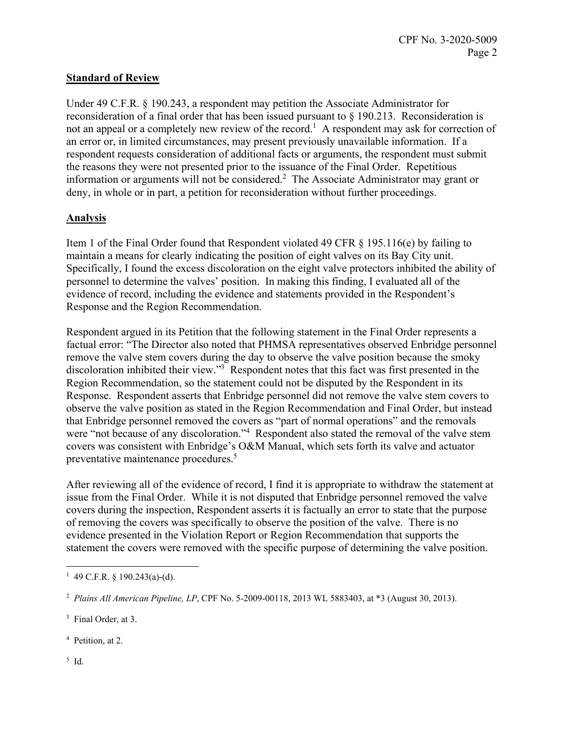# **Standard of Review**

Under 49 C.F.R. § 190.243, a respondent may petition the Associate Administrator for reconsideration of a final order that has been issued pursuant to § 190.213. Reconsideration is not an appeal or a completely new review of the record.<sup>1</sup> A respondent may ask for correction of an error or, in limited circumstances, may present previously unavailable information. If a respondent requests consideration of additional facts or arguments, the respondent must submit the reasons they were not presented prior to the issuance of the Final Order. Repetitious information or arguments will not be considered.<sup>2</sup> The Associate Administrator may grant or deny, in whole or in part, a petition for reconsideration without further proceedings.

# **Analysis**

Item 1 of the Final Order found that Respondent violated 49 CFR § 195.116(e) by failing to maintain a means for clearly indicating the position of eight valves on its Bay City unit. Specifically, I found the excess discoloration on the eight valve protectors inhibited the ability of personnel to determine the valves' position. In making this finding, I evaluated all of the evidence of record, including the evidence and statements provided in the Respondent's Response and the Region Recommendation.

Respondent argued in its Petition that the following statement in the Final Order represents a factual error: "The Director also noted that PHMSA representatives observed Enbridge personnel remove the valve stem covers during the day to observe the valve position because the smoky discoloration inhibited their view."<sup>3</sup> Respondent notes that this fact was first presented in the Region Recommendation, so the statement could not be disputed by the Respondent in its Response. Respondent asserts that Enbridge personnel did not remove the valve stem covers to observe the valve position as stated in the Region Recommendation and Final Order, but instead that Enbridge personnel removed the covers as "part of normal operations" and the removals were "not because of any discoloration."<sup>4</sup> Respondent also stated the removal of the valve stem covers was consistent with Enbridge's O&M Manual, which sets forth its valve and actuator preventative maintenance procedures.5

After reviewing all of the evidence of record, I find it is appropriate to withdraw the statement at issue from the Final Order. While it is not disputed that Enbridge personnel removed the valve covers during the inspection, Respondent asserts it is factually an error to state that the purpose of removing the covers was specifically to observe the position of the valve. There is no evidence presented in the Violation Report or Region Recommendation that supports the statement the covers were removed with the specific purpose of determining the valve position.

- 4 Petition, at 2.
- 5 Id.

 $\overline{a}$ <sup>1</sup> 49 C.F.R. § 190.243(a)-(d).

 <sup>2</sup>*Plains All American Pipeline, LP*, CPF No. 5-2009-00118, 2013 WL 5883403, at \*3 (August 30, 2013).

 3 Final Order, at 3.